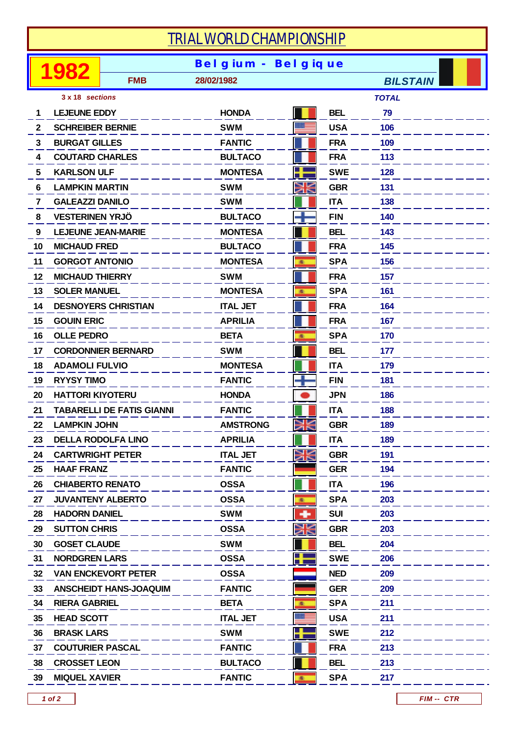## *TRIAL WORLD CHAMPIONSHIP*

|                 |                                  |                               | <b>Bel gium - Bel gique</b> |    |            |                 |
|-----------------|----------------------------------|-------------------------------|-----------------------------|----|------------|-----------------|
|                 |                                  | <b>FMB</b>                    | 28/02/1982                  |    |            | <b>BILSTAIN</b> |
| 3 x 18 sections |                                  |                               |                             |    |            | <b>TOTAL</b>    |
| 1               | <b>LEJEUNE EDDY</b>              |                               | <b>HONDA</b>                |    | <b>BEL</b> | 79              |
| $\mathbf{2}$    | <b>SCHREIBER BERNIE</b>          |                               | <b>SWM</b>                  |    | <b>USA</b> | 106             |
| 3               | <b>BURGAT GILLES</b>             |                               | <b>FANTIC</b>               |    | <b>FRA</b> | 109             |
| 4               | <b>COUTARD CHARLES</b>           |                               | <b>BULTACO</b>              |    | <b>FRA</b> | 113             |
| 5.              | <b>KARLSON ULF</b>               |                               | <b>MONTESA</b>              |    | <b>SWE</b> | 128             |
| 6               | <b>LAMPKIN MARTIN</b>            |                               | <b>SWM</b>                  | Ж  | <b>GBR</b> | 131             |
| 7               | <b>GALEAZZI DANILO</b>           |                               | <b>SWM</b>                  |    | <b>ITA</b> | 138             |
| 8               | <b>VESTERINEN YRJÖ</b>           |                               | <b>BULTACO</b>              |    | <b>FIN</b> | 140             |
| 9               | <b>LEJEUNE JEAN-MARIE</b>        |                               | <b>MONTESA</b>              |    | <b>BEL</b> | 143             |
| 10              | <b>MICHAUD FRED</b>              |                               | <b>BULTACO</b>              |    | <b>FRA</b> | 145             |
| 11              | <b>GORGOT ANTONIO</b>            |                               | <b>MONTESA</b>              | 廠  | <b>SPA</b> | 156             |
| 12              | <b>MICHAUD THIERRY</b>           |                               | <b>SWM</b>                  |    | <b>FRA</b> | 157             |
| 13              | <b>SOLER MANUEL</b>              |                               | <b>MONTESA</b>              | 亂  | <b>SPA</b> | 161             |
| 14              |                                  | <b>DESNOYERS CHRISTIAN</b>    | <b>ITAL JET</b>             |    | <b>FRA</b> | 164             |
| 15              | <b>GOUIN ERIC</b>                |                               | <b>APRILIA</b>              |    | <b>FRA</b> | 167             |
| 16              | <b>OLLE PEDRO</b>                |                               | <b>BETA</b>                 | 風  | <b>SPA</b> | 170             |
| 17              | <b>CORDONNIER BERNARD</b>        |                               | <b>SWM</b>                  |    | <b>BEL</b> | 177             |
| 18              | <b>ADAMOLI FULVIO</b>            |                               | <b>MONTESA</b>              |    | <b>ITA</b> | 179             |
| 19              | <b>RYYSY TIMO</b>                |                               | <b>FANTIC</b>               |    | <b>FIN</b> | 181             |
| 20              | <b>HATTORI KIYOTERU</b>          |                               | <b>HONDA</b>                |    | <b>JPN</b> | 186             |
| 21              | <b>TABARELLI DE FATIS GIANNI</b> |                               | <b>FANTIC</b>               |    | <b>ITA</b> | 188             |
| 22              | <b>LAMPKIN JOHN</b>              |                               | <b>AMSTRONG</b>             |    | <b>GBR</b> | 189             |
| 23              | <b>DELLA RODOLFA LINO</b>        |                               | <b>APRILIA</b>              |    | <b>ITA</b> | 189             |
| 24              | <b>CARTWRIGHT PETER</b>          |                               | <b>ITAL JET</b>             | Ж  | <b>GBR</b> | 191             |
| 25              | <b>HAAF FRANZ</b>                |                               | <b>FANTIC</b>               |    | <b>GER</b> | 194             |
| 26              | <b>CHIABERTO RENATO</b>          |                               | <b>OSSA</b>                 |    | <b>ITA</b> | 196             |
| 27              |                                  | <b>JUVANTENY ALBERTO</b>      | <b>OSSA</b>                 | 風  | <b>SPA</b> | 203             |
| 28              | <b>HADORN DANIEL</b>             |                               | <b>SWM</b>                  | ۰  | <b>SUI</b> | 203             |
| 29              | <b>SUTTON CHRIS</b>              |                               | <b>OSSA</b>                 | Ж  | <b>GBR</b> | 203             |
| 30              | <b>GOSET CLAUDE</b>              |                               | <b>SWM</b>                  |    | <b>BEL</b> | 204             |
| 31              | <b>NORDGREN LARS</b>             |                               | <b>OSSA</b>                 |    | <b>SWE</b> | 206             |
| 32              |                                  | <b>VAN ENCKEVORT PETER</b>    | <b>OSSA</b>                 |    | <b>NED</b> | 209             |
| 33              |                                  | <b>ANSCHEIDT HANS-JOAQUIM</b> | <b>FANTIC</b>               |    | <b>GER</b> | 209             |
| 34              | <b>RIERA GABRIEL</b>             |                               | <b>BETA</b>                 | 風  | <b>SPA</b> | 211             |
| 35              | <b>HEAD SCOTT</b>                |                               | <b>ITAL JET</b>             |    | <b>USA</b> | 211             |
| 36              | <b>BRASK LARS</b>                |                               | <b>SWM</b>                  | ╉  | <b>SWE</b> | 212             |
| 37              | <b>COUTURIER PASCAL</b>          |                               | <b>FANTIC</b>               |    | <b>FRA</b> | 213             |
| 38              | <b>CROSSET LEON</b>              |                               | <b>BULTACO</b>              |    | <b>BEL</b> | 213             |
| 39              | <b>MIQUEL XAVIER</b>             |                               | <b>FANTIC</b>               | 19 | <b>SPA</b> | 217             |